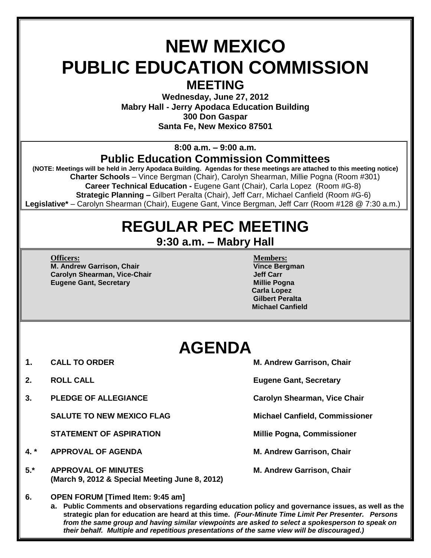### **NEW MEXICO PUBLIC EDUCATION COMMISSION MEETING**

**Wednesday, June 27, 2012 Mabry Hall - Jerry Apodaca Education Building 300 Don Gaspar Santa Fe, New Mexico 87501**

**8:00 a.m. – 9:00 a.m.**

#### **Public Education Commission Committees**

**(NOTE: Meetings will be held in Jerry Apodaca Building. Agendas for these meetings are attached to this meeting notice) Charter Schools** – Vince Bergman (Chair), Carolyn Shearman, Millie Pogna (Room #301)  **Career Technical Education -** Eugene Gant (Chair), Carla Lopez (Room #G-8)  **Strategic Planning –** Gilbert Peralta (Chair), Jeff Carr, Michael Canfield (Room #G-6) **Legislative\*** – Carolyn Shearman (Chair), Eugene Gant, Vince Bergman, Jeff Carr (Room #128 @ 7:30 a.m.)

# **REGULAR PEC MEETING**

**9:30 a.m. – Mabry Hall**

**Officers: Members: M. Andrew Garrison, Chair Vince Bergman Carolyn Shearman, Vice-Chair Jeff Carr Eugene Gant, Secretary <b>Millie Pogna** 

 **Carla Lopez Gilbert Peralta Michael Canfield**

## **AGENDA**

- 
- 
- **3. PLEDGE OF ALLEGIANCE Carolyn Shearman, Vice Chair**

**SALUTE TO NEW MEXICO FLAG Michael Canfield, Commissioner**

**STATEMENT OF ASPIRATION Millie Pogna, Commissioner**

- **4. \* APPROVAL OF AGENDA M. Andrew Garrison, Chair**
- 5.\* **APPROVAL OF MINUTES** M. Andrew Garrison, Chair **(March 9, 2012 & Special Meeting June 8, 2012)**

**1. CALL TO ORDER M. Andrew Garrison, Chair** 

**2. ROLL CALL Eugene Gant, Secretary**

**6. OPEN FORUM [Timed Item: 9:45 am]**

**a. Public Comments and observations regarding education policy and governance issues, as well as the strategic plan for education are heard at this time***. (Four-Minute Time Limit Per Presenter. Persons from the same group and having similar viewpoints are asked to select a spokesperson to speak on their behalf. Multiple and repetitious presentations of the same view will be discouraged.)*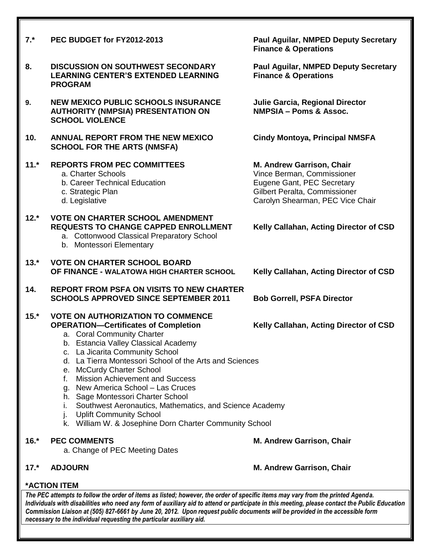| $7.*$  | PEC BUDGET for FY2012-2013                                                                                                                                                                                                                                                                                                                                                                                                                                                                                                                                                                                                        | <b>Paul Aguilar, NMPED Deputy Secretary</b><br><b>Finance &amp; Operations</b>                                                                             |
|--------|-----------------------------------------------------------------------------------------------------------------------------------------------------------------------------------------------------------------------------------------------------------------------------------------------------------------------------------------------------------------------------------------------------------------------------------------------------------------------------------------------------------------------------------------------------------------------------------------------------------------------------------|------------------------------------------------------------------------------------------------------------------------------------------------------------|
| 8.     | <b>DISCUSSION ON SOUTHWEST SECONDARY</b><br><b>LEARNING CENTER'S EXTENDED LEARNING</b><br><b>PROGRAM</b>                                                                                                                                                                                                                                                                                                                                                                                                                                                                                                                          | <b>Paul Aguilar, NMPED Deputy Secretary</b><br><b>Finance &amp; Operations</b>                                                                             |
| 9.     | <b>NEW MEXICO PUBLIC SCHOOLS INSURANCE</b><br><b>AUTHORITY (NMPSIA) PRESENTATION ON</b><br><b>SCHOOL VIOLENCE</b>                                                                                                                                                                                                                                                                                                                                                                                                                                                                                                                 | Julie Garcia, Regional Director<br><b>NMPSIA - Poms &amp; Assoc.</b>                                                                                       |
| 10.    | <b>ANNUAL REPORT FROM THE NEW MEXICO</b><br><b>SCHOOL FOR THE ARTS (NMSFA)</b>                                                                                                                                                                                                                                                                                                                                                                                                                                                                                                                                                    | <b>Cindy Montoya, Principal NMSFA</b>                                                                                                                      |
| $11.*$ | <b>REPORTS FROM PEC COMMITTEES</b><br>a. Charter Schools<br>b. Career Technical Education<br>c. Strategic Plan<br>d. Legislative                                                                                                                                                                                                                                                                                                                                                                                                                                                                                                  | M. Andrew Garrison, Chair<br>Vince Berman, Commissioner<br>Eugene Gant, PEC Secretary<br>Gilbert Peralta, Commissioner<br>Carolyn Shearman, PEC Vice Chair |
| $12.*$ | <b>VOTE ON CHARTER SCHOOL AMENDMENT</b><br><b>REQUESTS TO CHANGE CAPPED ENROLLMENT</b><br>a. Cottonwood Classical Preparatory School<br>b. Montessori Elementary                                                                                                                                                                                                                                                                                                                                                                                                                                                                  | Kelly Callahan, Acting Director of CSD                                                                                                                     |
| $13.*$ | <b>VOTE ON CHARTER SCHOOL BOARD</b><br>OF FINANCE - WALATOWA HIGH CHARTER SCHOOL                                                                                                                                                                                                                                                                                                                                                                                                                                                                                                                                                  | Kelly Callahan, Acting Director of CSD                                                                                                                     |
| 14.    | <b>REPORT FROM PSFA ON VISITS TO NEW CHARTER</b><br><b>SCHOOLS APPROVED SINCE SEPTEMBER 2011</b>                                                                                                                                                                                                                                                                                                                                                                                                                                                                                                                                  | <b>Bob Gorrell, PSFA Director</b>                                                                                                                          |
| $15.*$ | <b>VOTE ON AUTHORIZATION TO COMMENCE</b><br><b>OPERATION-Certificates of Completion</b><br>Kelly Callahan, Acting Director of CSD<br>a. Coral Community Charter<br>b. Estancia Valley Classical Academy<br>c. La Jicarita Community School<br>d. La Tierra Montessori School of the Arts and Sciences<br>e. McCurdy Charter School<br><b>Mission Achievement and Success</b><br>f.<br>g. New America School - Las Cruces<br>h. Sage Montessori Charter School<br>Southwest Aeronautics, Mathematics, and Science Academy<br>Ι.<br><b>Uplift Community School</b><br>J.<br>k. William W. & Josephine Dorn Charter Community School |                                                                                                                                                            |
| $16.*$ | <b>PEC COMMENTS</b><br>a. Change of PEC Meeting Dates                                                                                                                                                                                                                                                                                                                                                                                                                                                                                                                                                                             | M. Andrew Garrison, Chair                                                                                                                                  |

**17.\* ADJOURN M. Andrew Garrison, Chair**

#### **\*ACTION ITEM**

*The PEC attempts to follow the order of items as listed; however, the order of specific items may vary from the printed Agenda. Individuals with disabilities who need any form of auxiliary aid to attend or participate in this meeting, please contact the Public Education Commission Liaison at (505) 827-6661 by June 20, 2012. Upon request public documents will be provided in the accessible form necessary to the individual requesting the particular auxiliary aid.*